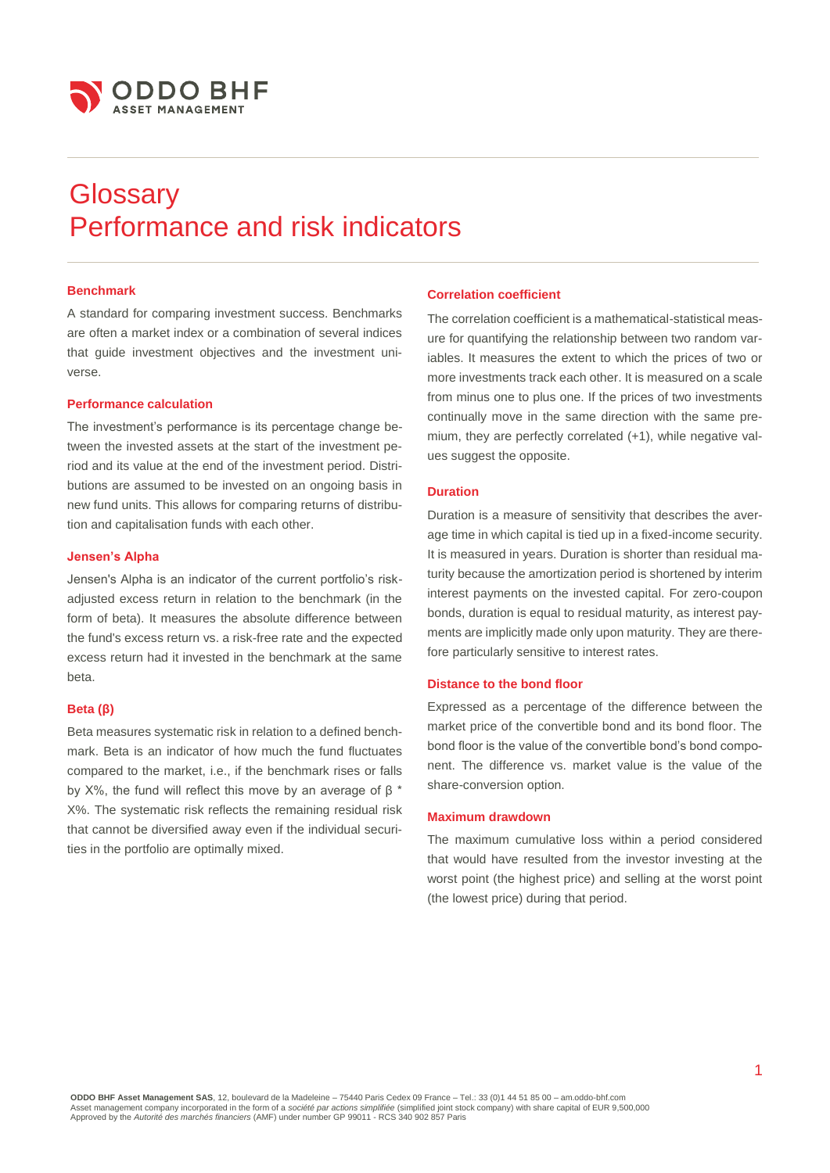

# **Glossary** Performance and risk indicators

# **Benchmark**

A standard for comparing investment success. Benchmarks are often a market index or a combination of several indices that guide investment objectives and the investment universe.

# **Performance calculation**

The investment's performance is its percentage change between the invested assets at the start of the investment period and its value at the end of the investment period. Distributions are assumed to be invested on an ongoing basis in new fund units. This allows for comparing returns of distribution and capitalisation funds with each other.

# **Jensen's Alpha**

Jensen's Alpha is an indicator of the current portfolio's riskadjusted excess return in relation to the benchmark (in the form of beta). It measures the absolute difference between the fund's excess return vs. a risk-free rate and the expected excess return had it invested in the benchmark at the same beta.

# **Beta (β)**

Beta measures systematic risk in relation to a defined benchmark. Beta is an indicator of how much the fund fluctuates compared to the market, i.e., if the benchmark rises or falls by X%, the fund will reflect this move by an average of β \* X%. The systematic risk reflects the remaining residual risk that cannot be diversified away even if the individual securities in the portfolio are optimally mixed.

# **Correlation coefficient**

The correlation coefficient is a mathematical-statistical measure for quantifying the relationship between two random variables. It measures the extent to which the prices of two or more investments track each other. It is measured on a scale from minus one to plus one. If the prices of two investments continually move in the same direction with the same premium, they are perfectly correlated (+1), while negative values suggest the opposite.

#### **Duration**

Duration is a measure of sensitivity that describes the average time in which capital is tied up in a fixed-income security. It is measured in years. Duration is shorter than residual maturity because the amortization period is shortened by interim interest payments on the invested capital. For zero-coupon bonds, duration is equal to residual maturity, as interest payments are implicitly made only upon maturity. They are therefore particularly sensitive to interest rates.

# **Distance to the bond floor**

Expressed as a percentage of the difference between the market price of the convertible bond and its bond floor. The bond floor is the value of the convertible bond's bond component. The difference vs. market value is the value of the share-conversion option.

### **Maximum drawdown**

The maximum cumulative loss within a period considered that would have resulted from the investor investing at the worst point (the highest price) and selling at the worst point (the lowest price) during that period.